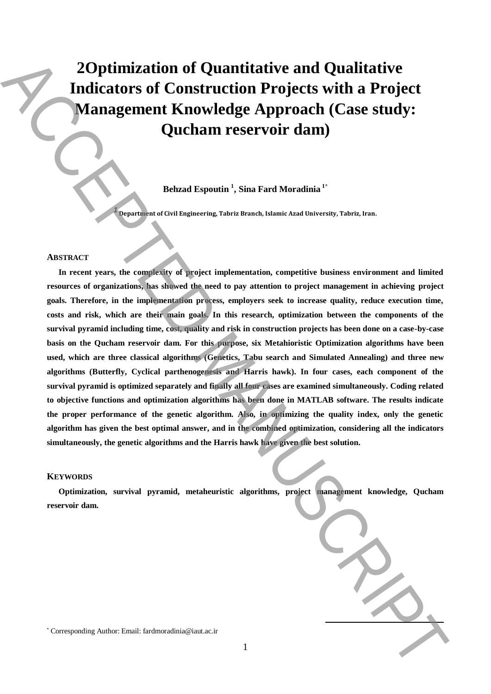# **2Optimization of Quantitative and Qualitative Indicators of Construction Projects with a Project Management Knowledge Approach (Case study: Qucham reservoir dam)**

**Behzad Espoutin <sup>1</sup> , Sina Fard Moradinia <sup>1</sup>**\*

**Department of Civil Engineering, Tabriz Branch, Islamic Azad University, Tabriz, Iran.**

#### **ABSTRACT**

*1*

**In recent years, the complexity of project implementation, competitive business environment and limited resources of organizations, has showed the need to pay attention to project management in achieving project goals. Therefore, in the implementation process, employers seek to increase quality, reduce execution time, costs and risk, which are their main goals. In this research, optimization between the components of the survival pyramid including time, cost, quality and risk in construction projects has been done on a case-by-case basis on the Qucham reservoir dam. For this purpose, six Metahioristic Optimization algorithms have been used, which are three classical algorithms (Genetics, Tabu search and Simulated Annealing) and three new algorithms (Butterfly, Cyclical parthenogenesis and Harris hawk). In four cases, each component of the survival pyramid is optimized separately and finally all four cases are examined simultaneously. Coding related to objective functions and optimization algorithms has been done in MATLAB software. The results indicate the proper performance of the genetic algorithm. Also, in optimizing the quality index, only the genetic algorithm has given the best optimal answer, and in the combined optimization, considering all the indicators simultaneously, the genetic algorithms and the Harris hawk have given the best solution. 2. Optimization of Quantitative and Qualitative**<br>
Indicators of Construction Projects with a Project<br>
Quebrann reservoir dam)<br>
Quebrann reservoir dam)<br>
Rebuils Togonthe Space in the Tarak Manuscriptic bacteria contribute

## **KEYWORDS**

**Optimization, survival pyramid, metaheuristic algorithms, project management knowledge, Qucham reservoir dam.**

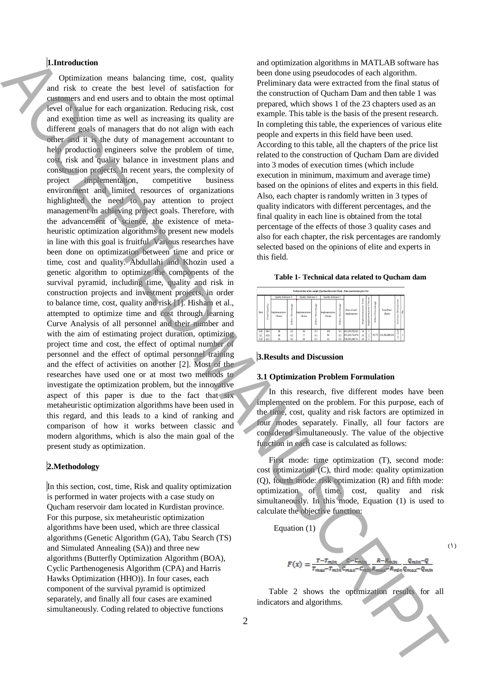## 1.**1.Introduction**

Optimization means balancing time, cost, quality and risk to create the best level of satisfaction for customers and end users and to obtain the most optimal level of value for each organization. Reducing risk, cost and execution time as well as increasing its quality are different goals of managers that do not align with each other and it is the duty of management accountant to help production engineers solve the problem of time, cost, risk and quality balance in investment plans and construction projects. In recent years, the complexity of project implementation, competitive business environment and limited resources of organizations highlighted the need to pay attention to project management in achieving project goals. Therefore, with the advancement of science, the existence of metaheuristic optimization algorithms to present new models in line with this goal is fruitful. Various researches have been done on optimization between time and price or time, cost and quality. Abdullahi and Khozin used a genetic algorithm to optimize the components of the survival pyramid, including time, quality and risk in construction projects and investment projects, in order to balance time, cost, quality and risk [1]. Hisham et al., attempted to optimize time and cost through learning Curve Analysis of all personnel and their number and with the aim of estimating project duration, optimizing project time and cost, the effect of optimal number of personnel and the effect of optimal personnel training and the effect of activities on another [2]. Most of the researches have used one or at most two methods to investigate the optimization problem, but the innovative aspect of this paper is due to the fact that six metaheuristic optimization algorithms have been used in this regard, and this leads to a kind of ranking and comparison of how it works between classic and modern algorithms, which is also the main goal of the present study as optimization. **Example 200** ( $\phi$  in the set of statistical energy in the statistical energy continues and the statistical energy in the statistical energy in the statistical energy in the statistical energy in the statistical energy i

## 2.**2.Methodology**

In this section, cost, time, Risk and quality optimization is performed in water projects with a case study on Qucham reservoir dam located in Kurdistan province. For this purpose, six metaheuristic optimization algorithms have been used, which are three classical algorithms (Genetic Algorithm (GA), Tabu Search (TS) and Simulated Annealing (SA)) and three new algorithms (Butterfly Optimization Algorithm (BOA), Cyclic Parthenogenesis Algorithm (CPA) and Harris Hawks Optimization (HHO)). In four cases, each component of the survival pyramid is optimized separately, and finally all four cases are examined simultaneously. Coding related to objective functions

and optimization algorithms in MATLAB software has been done using pseudocodes of each algorithm. Preliminary data were extracted from the final status of the construction of Qucham Dam and then table 1 was prepared, which shows 1 of the 23 chapters used as an example. This table is the basis of the present research. In completing this table, the experiences of various elite people and experts in this field have been used. According to this table, all the chapters of the price list related to the construction of Qucham Dam are divided into 3 modes of execution times (which include execution in minimum, maximum and average time) based on the opinions of elites and experts in this field. Also, each chapter is randomly written in 3 types of quality indicators with different percentages, and the final quality in each line is obtained from the total percentage of the effects of those 3 quality cases and also for each chapter, the risk percentages are randomly selected based on the opinions of elite and experts in this field.

**Table 1- Technical data related to Qucham dam**

| Technical data of the sample (Oucham Reservoir Dam) - Dam construction price list |                  |                          |                             |                            |                         |                          |                                |                               |                    |                              |                           |                               |                            |     |
|-----------------------------------------------------------------------------------|------------------|--------------------------|-----------------------------|----------------------------|-------------------------|--------------------------|--------------------------------|-------------------------------|--------------------|------------------------------|---------------------------|-------------------------------|----------------------------|-----|
| Risk                                                                              | Quality<br>Final | Ouality Indicator 3      |                             | <b>Ouality</b> Indicator 2 |                         | Orality Indicator 1      |                                |                               |                    |                              |                           |                               |                            |     |
|                                                                                   |                  | Implementation<br>Choice | Percentage<br><b>Effect</b> | Implementation<br>Choice   | roontage<br>2<br>EIR-ct | Implementation<br>Choice | Percentage<br>EIR <sub>C</sub> | Price of each<br>Implemetaion | Ĕ<br>mplementation | Choice<br>tation<br>Implemen | Percentage<br>ä,<br>Effec | <b>Total Price</b><br>(Rials) | Description<br>č<br>ŝ<br>ŧ | l,9 |
| 0.45                                                                              | 98.4             | 98                       | 0.2                         | 96                         | 0 <sub>3</sub>          | 100                      | 05                             | 413.230.765.915               | 14                 |                              |                           |                               |                            |     |
| 03                                                                                | 82.9             | 84                       | 0.2                         |                            | 03                      | 86                       | 0.5                            | 472 263 732 474               | 16                 |                              |                           | 78.775 531.296.699.033        | 킻                          |     |
| 0.25                                                                              | 625              | 65                       | 0.2                         | 60                         | 0.3                     | 63                       | 0.5                            | 708.395.598.711               | 24                 | Ŕ                            |                           |                               | -                          |     |

## 4.**3.Results and Discussion**

## **3.1 Optimization Problem Formulation**

In this research, five different modes have been implemented on the problem. For this purpose, each of the time, cost, quality and risk factors are optimized in four modes separately. Finally, all four factors are considered simultaneously. The value of the objective function in each case is calculated as follows:

First mode: time optimization (T), second mode: cost optimization (C), third mode: quality optimization (Q), fourth mode: risk optimization (R) and fifth mode: optimization of time, cost, quality and risk simultaneously. In this mode, Equation (1) is used to calculate the objective function:



Table 2 shows the optimization results for all